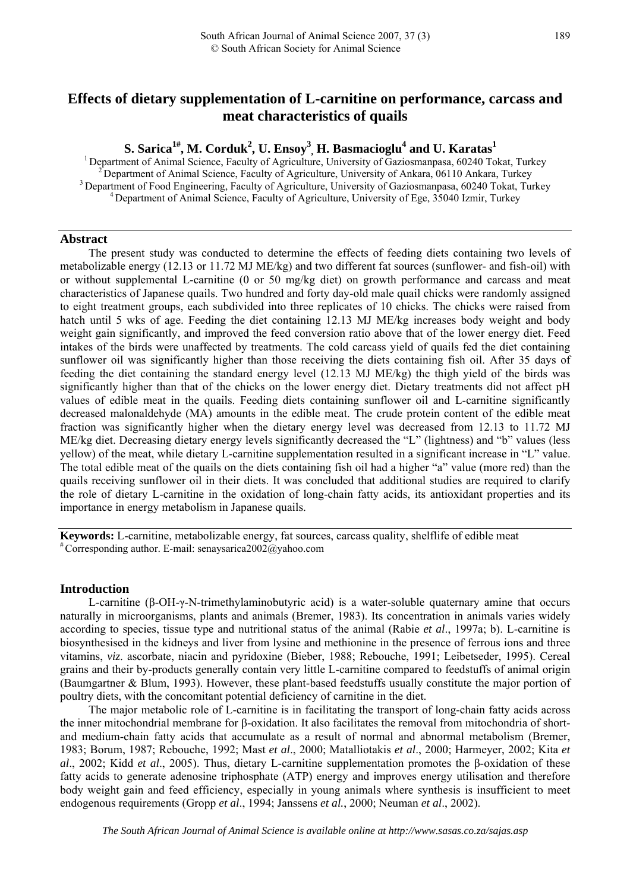# **Effects of dietary supplementation of L-carnitine on performance, carcass and meat characteristics of quails**

# ${\bf S.~Sarica}^{1\#}, {\bf M.~Corduk}^2, {\bf U.~Ensoy}^3, {\bf H.~Basmacioglu}^4~{\bf and~U.~Karatas}^1$

<sup>1</sup> Department of Animal Science, Faculty of Agriculture, University of Gaziosmanpasa, 60240 Tokat, Turkey<br><sup>2</sup> Department of Animal Science, Faculty of Agriculture, University of Ankara, 06110 Ankara, Turkey<br><sup>3</sup> Departmen

#### **Abstract**

The present study was conducted to determine the effects of feeding diets containing two levels of metabolizable energy (12.13 or 11.72 MJ ME/kg) and two different fat sources (sunflower- and fish-oil) with or without supplemental L-carnitine (0 or 50 mg/kg diet) on growth performance and carcass and meat characteristics of Japanese quails. Two hundred and forty day-old male quail chicks were randomly assigned to eight treatment groups, each subdivided into three replicates of 10 chicks. The chicks were raised from hatch until 5 wks of age. Feeding the diet containing 12.13 MJ ME/kg increases body weight and body weight gain significantly, and improved the feed conversion ratio above that of the lower energy diet. Feed intakes of the birds were unaffected by treatments. The cold carcass yield of quails fed the diet containing sunflower oil was significantly higher than those receiving the diets containing fish oil. After 35 days of feeding the diet containing the standard energy level (12.13 MJ ME/kg) the thigh yield of the birds was significantly higher than that of the chicks on the lower energy diet. Dietary treatments did not affect pH values of edible meat in the quails. Feeding diets containing sunflower oil and L-carnitine significantly decreased malonaldehyde (MA) amounts in the edible meat. The crude protein content of the edible meat fraction was significantly higher when the dietary energy level was decreased from 12.13 to 11.72 MJ ME/kg diet. Decreasing dietary energy levels significantly decreased the "L" (lightness) and "b" values (less yellow) of the meat, while dietary L-carnitine supplementation resulted in a significant increase in "L" value. The total edible meat of the quails on the diets containing fish oil had a higher "a" value (more red) than the quails receiving sunflower oil in their diets. It was concluded that additional studies are required to clarify the role of dietary L-carnitine in the oxidation of long-chain fatty acids, its antioxidant properties and its importance in energy metabolism in Japanese quails.

**Keywords:** L-carnitine, metabolizable energy, fat sources, carcass quality, shelflife of edible meat # Corresponding author. E-mail: senaysarica2002@yahoo.com

#### **Introduction**

L-carnitine (β-OH-γ-N-trimethylaminobutyric acid) is a water-soluble quaternary amine that occurs naturally in microorganisms, plants and animals (Bremer, 1983). Its concentration in animals varies widely according to species, tissue type and nutritional status of the animal (Rabie *et al*., 1997a; b). L-carnitine is biosynthesised in the kidneys and liver from lysine and methionine in the presence of ferrous ions and three vitamins, *viz*. ascorbate, niacin and pyridoxine (Bieber, 1988; Rebouche, 1991; Leibetseder, 1995). Cereal grains and their by-products generally contain very little L-carnitine compared to feedstuffs of animal origin (Baumgartner & Blum, 1993). However, these plant-based feedstuffs usually constitute the major portion of poultry diets, with the concomitant potential deficiency of carnitine in the diet.

The major metabolic role of L-carnitine is in facilitating the transport of long-chain fatty acids across the inner mitochondrial membrane for β-oxidation. It also facilitates the removal from mitochondria of shortand medium-chain fatty acids that accumulate as a result of normal and abnormal metabolism (Bremer, 1983; Borum, 1987; Rebouche, 1992; Mast *et al*., 2000; Matalliotakis *et al*., 2000; Harmeyer, 2002; Kita *et al*., 2002; Kidd *et al*., 2005). Thus, dietary L-carnitine supplementation promotes the β-oxidation of these fatty acids to generate adenosine triphosphate (ATP) energy and improves energy utilisation and therefore body weight gain and feed efficiency, especially in young animals where synthesis is insufficient to meet endogenous requirements (Gropp *et al*., 1994; Janssens *et al.*, 2000; Neuman *et al*., 2002).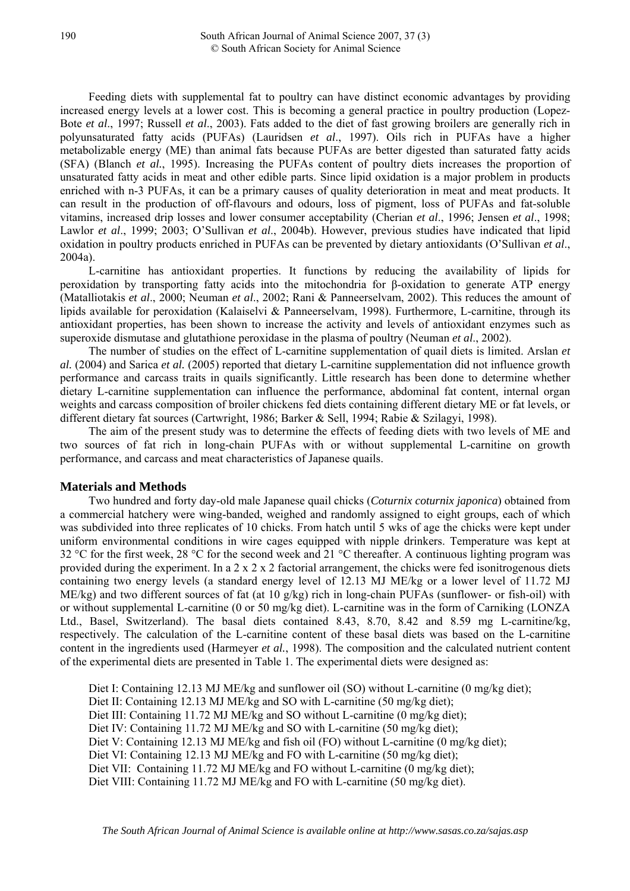Feeding diets with supplemental fat to poultry can have distinct economic advantages by providing increased energy levels at a lower cost. This is becoming a general practice in poultry production (Lopez-Bote *et al*., 1997; Russell *et al*., 2003). Fats added to the diet of fast growing broilers are generally rich in polyunsaturated fatty acids (PUFAs) (Lauridsen *et al*., 1997). Oils rich in PUFAs have a higher metabolizable energy (ME) than animal fats because PUFAs are better digested than saturated fatty acids (SFA) (Blanch *et al.*, 1995). Increasing the PUFAs content of poultry diets increases the proportion of unsaturated fatty acids in meat and other edible parts. Since lipid oxidation is a major problem in products enriched with n-3 PUFAs, it can be a primary causes of quality deterioration in meat and meat products. It can result in the production of off-flavours and odours, loss of pigment, loss of PUFAs and fat-soluble vitamins, increased drip losses and lower consumer acceptability (Cherian *et al*., 1996; Jensen *et al*., 1998; Lawlor *et al*., 1999; 2003; O'Sullivan *et al*., 2004b). However, previous studies have indicated that lipid oxidation in poultry products enriched in PUFAs can be prevented by dietary antioxidants (O'Sullivan *et al*., 2004a).

L-carnitine has antioxidant properties. It functions by reducing the availability of lipids for peroxidation by transporting fatty acids into the mitochondria for β-oxidation to generate ATP energy (Matalliotakis *et al*., 2000; Neuman *et al*., 2002; Rani & Panneerselvam, 2002). This reduces the amount of lipids available for peroxidation (Kalaiselvi & Panneerselvam, 1998). Furthermore, L-carnitine, through its antioxidant properties, has been shown to increase the activity and levels of antioxidant enzymes such as superoxide dismutase and glutathione peroxidase in the plasma of poultry (Neuman *et al*., 2002).

The number of studies on the effect of L-carnitine supplementation of quail diets is limited. Arslan *et al.* (2004) and Sarica *et al.* (2005) reported that dietary L-carnitine supplementation did not influence growth performance and carcass traits in quails significantly. Little research has been done to determine whether dietary L-carnitine supplementation can influence the performance, abdominal fat content, internal organ weights and carcass composition of broiler chickens fed diets containing different dietary ME or fat levels, or different dietary fat sources (Cartwright, 1986; Barker & Sell, 1994; Rabie & Szilagyi, 1998).

The aim of the present study was to determine the effects of feeding diets with two levels of ME and two sources of fat rich in long-chain PUFAs with or without supplemental L-carnitine on growth performance, and carcass and meat characteristics of Japanese quails.

## **Materials and Methods**

Two hundred and forty day-old male Japanese quail chicks (*Coturnix coturnix japonica*) obtained from a commercial hatchery were wing-banded, weighed and randomly assigned to eight groups, each of which was subdivided into three replicates of 10 chicks. From hatch until 5 wks of age the chicks were kept under uniform environmental conditions in wire cages equipped with nipple drinkers. Temperature was kept at 32 °C for the first week, 28 °C for the second week and 21 °C thereafter. A continuous lighting program was provided during the experiment. In a 2 x 2 x 2 factorial arrangement, the chicks were fed isonitrogenous diets containing two energy levels (a standard energy level of 12.13 MJ ME/kg or a lower level of 11.72 MJ ME/kg) and two different sources of fat (at 10 g/kg) rich in long-chain PUFAs (sunflower- or fish-oil) with or without supplemental L-carnitine (0 or 50 mg/kg diet). L-carnitine was in the form of Carniking (LONZA Ltd., Basel, Switzerland). The basal diets contained 8.43, 8.70, 8.42 and 8.59 mg L-carnitine/kg, respectively. The calculation of the L-carnitine content of these basal diets was based on the L-carnitine content in the ingredients used (Harmeyer *et al.*, 1998). The composition and the calculated nutrient content of the experimental diets are presented in Table 1. The experimental diets were designed as:

Diet I: Containing 12.13 MJ ME/kg and sunflower oil (SO) without L-carnitine (0 mg/kg diet); Diet II: Containing 12.13 MJ ME/kg and SO with L-carnitine (50 mg/kg diet); Diet III: Containing 11.72 MJ ME/kg and SO without L-carnitine (0 mg/kg diet); Diet IV: Containing 11.72 MJ ME/kg and SO with L-carnitine (50 mg/kg diet); Diet V: Containing 12.13 MJ ME/kg and fish oil (FO) without L-carnitine (0 mg/kg diet); Diet VI: Containing 12.13 MJ ME/kg and FO with L-carnitine (50 mg/kg diet); Diet VII: Containing 11.72 MJ ME/kg and FO without L-carnitine (0 mg/kg diet); Diet VIII: Containing 11.72 MJ ME/kg and FO with L-carnitine (50 mg/kg diet).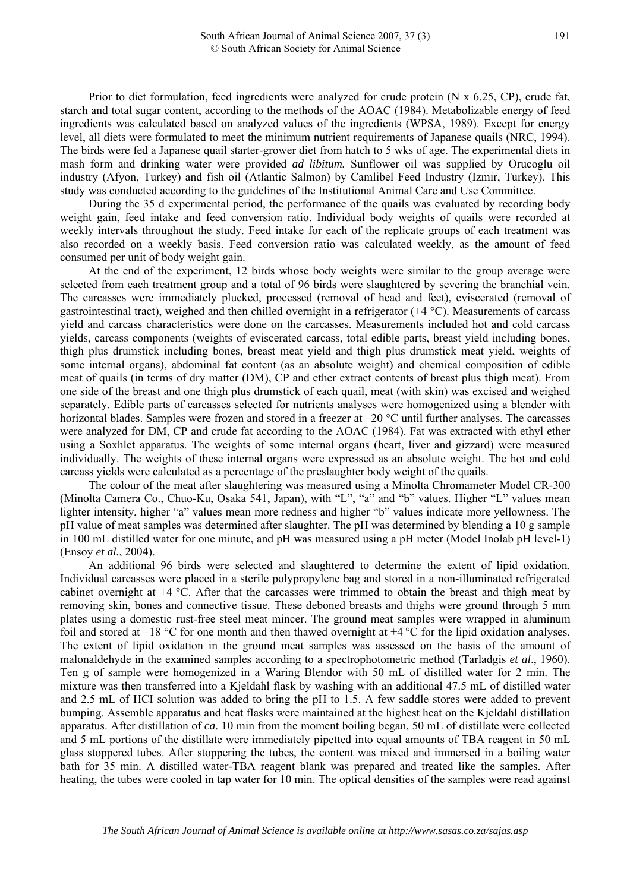Prior to diet formulation, feed ingredients were analyzed for crude protein (N x 6.25, CP), crude fat, starch and total sugar content, according to the methods of the AOAC (1984). Metabolizable energy of feed ingredients was calculated based on analyzed values of the ingredients (WPSA, 1989). Except for energy level, all diets were formulated to meet the minimum nutrient requirements of Japanese quails (NRC, 1994). The birds were fed a Japanese quail starter-grower diet from hatch to 5 wks of age. The experimental diets in mash form and drinking water were provided *ad libitum.* Sunflower oil was supplied by Orucoglu oil industry (Afyon, Turkey) and fish oil (Atlantic Salmon) by Camlibel Feed Industry (Izmir, Turkey). This study was conducted according to the guidelines of the Institutional Animal Care and Use Committee.

During the 35 d experimental period, the performance of the quails was evaluated by recording body weight gain, feed intake and feed conversion ratio. Individual body weights of quails were recorded at weekly intervals throughout the study. Feed intake for each of the replicate groups of each treatment was also recorded on a weekly basis. Feed conversion ratio was calculated weekly, as the amount of feed consumed per unit of body weight gain.

At the end of the experiment, 12 birds whose body weights were similar to the group average were selected from each treatment group and a total of 96 birds were slaughtered by severing the branchial vein. The carcasses were immediately plucked, processed (removal of head and feet), eviscerated (removal of gastrointestinal tract), weighed and then chilled overnight in a refrigerator (+4 °C). Measurements of carcass yield and carcass characteristics were done on the carcasses. Measurements included hot and cold carcass yields, carcass components (weights of eviscerated carcass, total edible parts, breast yield including bones, thigh plus drumstick including bones, breast meat yield and thigh plus drumstick meat yield, weights of some internal organs), abdominal fat content (as an absolute weight) and chemical composition of edible meat of quails (in terms of dry matter (DM), CP and ether extract contents of breast plus thigh meat). From one side of the breast and one thigh plus drumstick of each quail, meat (with skin) was excised and weighed separately. Edible parts of carcasses selected for nutrients analyses were homogenized using a blender with horizontal blades. Samples were frozen and stored in a freezer at –20 °C until further analyses. The carcasses were analyzed for DM, CP and crude fat according to the AOAC (1984). Fat was extracted with ethyl ether using a Soxhlet apparatus. The weights of some internal organs (heart, liver and gizzard) were measured individually. The weights of these internal organs were expressed as an absolute weight. The hot and cold carcass yields were calculated as a percentage of the preslaughter body weight of the quails.

The colour of the meat after slaughtering was measured using a Minolta Chromameter Model CR-300 (Minolta Camera Co., Chuo-Ku, Osaka 541, Japan), with "L", "a" and "b" values. Higher "L" values mean lighter intensity, higher "a" values mean more redness and higher "b" values indicate more yellowness. The pH value of meat samples was determined after slaughter. The pH was determined by blending a 10 g sample in 100 mL distilled water for one minute, and pH was measured using a pH meter (Model Inolab pH level-1) (Ensoy *et al.*, 2004).

An additional 96 birds were selected and slaughtered to determine the extent of lipid oxidation. Individual carcasses were placed in a sterile polypropylene bag and stored in a non-illuminated refrigerated cabinet overnight at +4 °C. After that the carcasses were trimmed to obtain the breast and thigh meat by removing skin, bones and connective tissue. These deboned breasts and thighs were ground through 5 mm plates using a domestic rust-free steel meat mincer. The ground meat samples were wrapped in aluminum foil and stored at  $-18$  °C for one month and then thawed overnight at  $+4$  °C for the lipid oxidation analyses. The extent of lipid oxidation in the ground meat samples was assessed on the basis of the amount of malonaldehyde in the examined samples according to a spectrophotometric method (Tarladgis *et al*., 1960). Ten g of sample were homogenized in a Waring Blendor with 50 mL of distilled water for 2 min. The mixture was then transferred into a Kjeldahl flask by washing with an additional 47.5 mL of distilled water and 2.5 mL of HCI solution was added to bring the pH to 1.5. A few saddle stores were added to prevent bumping. Assemble apparatus and heat flasks were maintained at the highest heat on the Kjeldahl distillation apparatus. After distillation of *ca*. 10 min from the moment boiling began, 50 mL of distillate were collected and 5 mL portions of the distillate were immediately pipetted into equal amounts of TBA reagent in 50 mL glass stoppered tubes. After stoppering the tubes, the content was mixed and immersed in a boiling water bath for 35 min. A distilled water-TBA reagent blank was prepared and treated like the samples. After heating, the tubes were cooled in tap water for 10 min. The optical densities of the samples were read against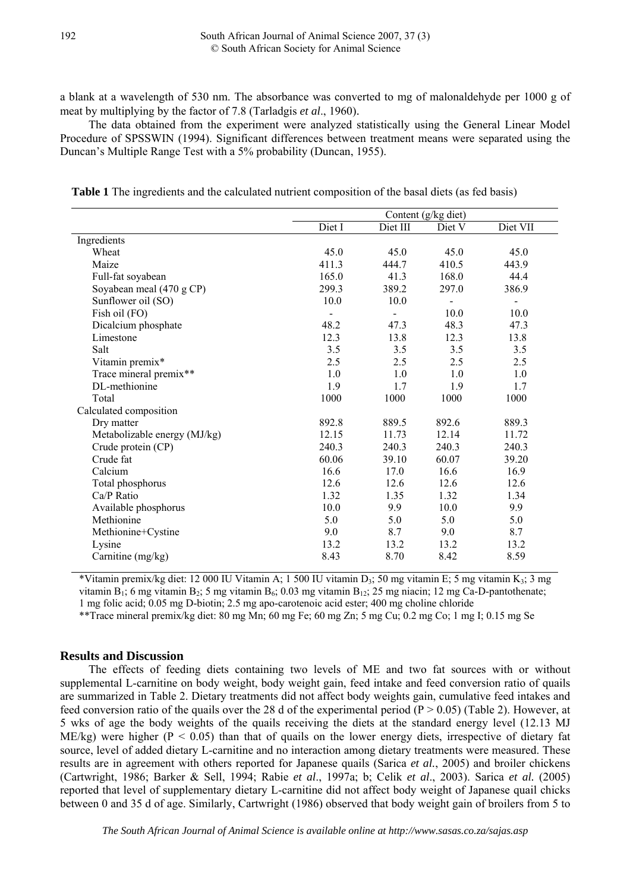a blank at a wavelength of 530 nm. The absorbance was converted to mg of malonaldehyde per 1000 g of meat by multiplying by the factor of 7.8 (Tarladgis *et al*., 1960).

The data obtained from the experiment were analyzed statistically using the General Linear Model Procedure of SPSSWIN (1994). Significant differences between treatment means were separated using the Duncan's Multiple Range Test with a 5% probability (Duncan, 1955).

 **Table 1** The ingredients and the calculated nutrient composition of the basal diets (as fed basis)

|                              | Content (g/kg diet) |          |                |                |  |  |  |  |  |
|------------------------------|---------------------|----------|----------------|----------------|--|--|--|--|--|
|                              | Diet I              | Diet III | Diet V         | Diet VII       |  |  |  |  |  |
| Ingredients                  |                     |          |                |                |  |  |  |  |  |
| Wheat                        | 45.0                | 45.0     | 45.0           | 45.0           |  |  |  |  |  |
| Maize                        | 411.3               | 444.7    | 410.5          | 443.9          |  |  |  |  |  |
| Full-fat soyabean            | 165.0               | 41.3     | 168.0          | 44.4           |  |  |  |  |  |
| Soyabean meal (470 g CP)     | 299.3               | 389.2    | 297.0          | 386.9          |  |  |  |  |  |
| Sunflower oil (SO)           | 10.0                | 10.0     | $\blacksquare$ | $\blacksquare$ |  |  |  |  |  |
| Fish oil (FO)                |                     |          | 10.0           | 10.0           |  |  |  |  |  |
| Dicalcium phosphate          | 48.2                | 47.3     | 48.3           | 47.3           |  |  |  |  |  |
| Limestone                    | 12.3                | 13.8     | 12.3           | 13.8           |  |  |  |  |  |
| Salt                         | 3.5                 | 3.5      | 3.5            | 3.5            |  |  |  |  |  |
| Vitamin premix*              | 2.5                 | 2.5      | 2.5            | 2.5            |  |  |  |  |  |
| Trace mineral premix**       | 1.0                 | 1.0      | 1.0            | 1.0            |  |  |  |  |  |
| DL-methionine                | 1.9                 | 1.7      | 1.9            | 1.7            |  |  |  |  |  |
| Total                        | 1000                | 1000     | 1000           | 1000           |  |  |  |  |  |
| Calculated composition       |                     |          |                |                |  |  |  |  |  |
| Dry matter                   | 892.8               | 889.5    | 892.6          | 889.3          |  |  |  |  |  |
| Metabolizable energy (MJ/kg) | 12.15               | 11.73    | 12.14          | 11.72          |  |  |  |  |  |
| Crude protein (CP)           | 240.3               | 240.3    | 240.3          | 240.3          |  |  |  |  |  |
| Crude fat                    | 60.06               | 39.10    | 60.07          | 39.20          |  |  |  |  |  |
| Calcium                      | 16.6                | 17.0     | 16.6           | 16.9           |  |  |  |  |  |
| Total phosphorus             | 12.6                | 12.6     | 12.6           | 12.6           |  |  |  |  |  |
| Ca/P Ratio                   | 1.32                | 1.35     | 1.32           | 1.34           |  |  |  |  |  |
| Available phosphorus         | 10.0                | 9.9      | 10.0           | 9.9            |  |  |  |  |  |
| Methionine                   | 5.0                 | 5.0      | 5.0            | 5.0            |  |  |  |  |  |
| Methionine+Cystine           | 9.0                 | 8.7      | 9.0            | 8.7            |  |  |  |  |  |
| Lysine                       | 13.2                | 13.2     | 13.2           | 13.2           |  |  |  |  |  |
| Carnitine (mg/kg)            | 8.43                | 8.70     | 8.42           | 8.59           |  |  |  |  |  |

\*Vitamin premix/kg diet: 12 000 IU Vitamin A; 1 500 IU vitamin D<sub>3</sub>; 50 mg vitamin E; 5 mg vitamin K<sub>3</sub>; 3 mg vitamin B<sub>1</sub>; 6 mg vitamin B<sub>2</sub>; 5 mg vitamin B<sub>6</sub>; 0.03 mg vitamin B<sub>12</sub>; 25 mg niacin; 12 mg Ca-D-pantothenate; 1 mg folic acid; 0.05 mg D-biotin; 2.5 mg apo-carotenoic acid ester; 400 mg choline chloride

\*\*Trace mineral premix/kg diet: 80 mg Mn; 60 mg Fe; 60 mg Zn; 5 mg Cu; 0.2 mg Co; 1 mg I; 0.15 mg Se

## **Results and Discussion**

The effects of feeding diets containing two levels of ME and two fat sources with or without supplemental L-carnitine on body weight, body weight gain, feed intake and feed conversion ratio of quails are summarized in Table 2. Dietary treatments did not affect body weights gain, cumulative feed intakes and feed conversion ratio of the quails over the 28 d of the experimental period ( $P > 0.05$ ) (Table 2). However, at 5 wks of age the body weights of the quails receiving the diets at the standard energy level (12.13 MJ ME/kg) were higher ( $P < 0.05$ ) than that of quails on the lower energy diets, irrespective of dietary fat source, level of added dietary L-carnitine and no interaction among dietary treatments were measured. These results are in agreement with others reported for Japanese quails (Sarica *et al.*, 2005) and broiler chickens (Cartwright, 1986; Barker & Sell, 1994; Rabie *et al*., 1997a; b; Celik *et al*., 2003). Sarica *et al.* (2005) reported that level of supplementary dietary L-carnitine did not affect body weight of Japanese quail chicks between 0 and 35 d of age. Similarly, Cartwright (1986) observed that body weight gain of broilers from 5 to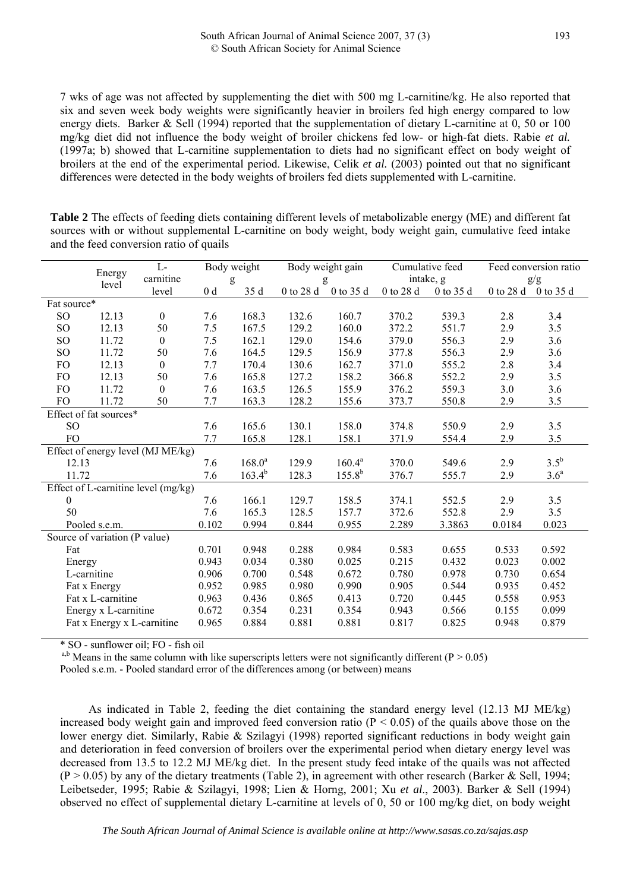7 wks of age was not affected by supplementing the diet with 500 mg L-carnitine/kg. He also reported that six and seven week body weights were significantly heavier in broilers fed high energy compared to low energy diets. Barker & Sell (1994) reported that the supplementation of dietary L-carnitine at 0, 50 or 100 mg/kg diet did not influence the body weight of broiler chickens fed low- or high-fat diets. Rabie *et al.* (1997a; b) showed that L-carnitine supplementation to diets had no significant effect on body weight of broilers at the end of the experimental period. Likewise, Celik *et al.* (2003) pointed out that no significant differences were detected in the body weights of broilers fed diets supplemented with L-carnitine.

**Table 2** The effects of feeding diets containing different levels of metabolizable energy (ME) and different fat sources with or without supplemental L-carnitine on body weight, body weight gain, cumulative feed intake and the feed conversion ratio of quails

| $L-$<br>Energy   |                                     |                  | Body weight |             | Body weight gain |             | Cumulative feed |                        | Feed conversion ratio |                  |
|------------------|-------------------------------------|------------------|-------------|-------------|------------------|-------------|-----------------|------------------------|-----------------------|------------------|
|                  | carnitine<br>level                  |                  |             | g           |                  | g           | intake, g       |                        |                       | g/g              |
|                  |                                     | level            | $0\;\rm d$  | 35 d        | 0 to 28 d        | 0 to 35 d   | 0 to 28 d       | $0$ to $35~\mathrm{d}$ | 0 to 28 d             | 0 to 35 d        |
| Fat source*      |                                     |                  |             |             |                  |             |                 |                        |                       |                  |
| SO               | 12.13                               | $\boldsymbol{0}$ | 7.6         | 168.3       | 132.6            | 160.7       | 370.2           | 539.3                  | 2.8                   | 3.4              |
| SO <sub>1</sub>  | 12.13                               | 50               | 7.5         | 167.5       | 129.2            | 160.0       | 372.2           | 551.7                  | 2.9                   | 3.5              |
| SO <sub>1</sub>  | 11.72                               | $\boldsymbol{0}$ | 7.5         | 162.1       | 129.0            | 154.6       | 379.0           | 556.3                  | 2.9                   | 3.6              |
| $\rm SO$         | 11.72                               | 50               | 7.6         | 164.5       | 129.5            | 156.9       | 377.8           | 556.3                  | 2.9                   | 3.6              |
| FO               | 12.13                               | $\boldsymbol{0}$ | 7.7         | 170.4       | 130.6            | 162.7       | 371.0           | 555.2                  | 2.8                   | 3.4              |
| <b>FO</b>        | 12.13                               | 50               | 7.6         | 165.8       | 127.2            | 158.2       | 366.8           | 552.2                  | 2.9                   | 3.5              |
| <b>FO</b>        | 11.72                               | $\boldsymbol{0}$ | 7.6         | 163.5       | 126.5            | 155.9       | 376.2           | 559.3                  | 3.0                   | 3.6              |
| <b>FO</b>        | 11.72                               | 50               | 7.7         | 163.3       | 128.2            | 155.6       | 373.7           | 550.8                  | 2.9                   | 3.5              |
|                  | Effect of fat sources*              |                  |             |             |                  |             |                 |                        |                       |                  |
| SO <sub>1</sub>  |                                     |                  | 7.6         | 165.6       | 130.1            | 158.0       | 374.8           | 550.9                  | 2.9                   | 3.5              |
| FO               |                                     |                  | 7.7         | 165.8       | 128.1            | 158.1       | 371.9           | 554.4                  | 2.9                   | $3.5$            |
|                  | Effect of energy level (MJ ME/kg)   |                  |             |             |                  |             |                 |                        |                       |                  |
|                  | 12.13                               |                  | 7.6         | $168.0^a$   | 129.9            | $160.4^a$   | 370.0           | 549.6                  | 2.9                   | $3.5^{\rm b}$    |
|                  | 11.72                               |                  | 7.6         | $163.4^{b}$ | 128.3            | $155.8^{b}$ | 376.7           | 555.7                  | 2.9                   | 3.6 <sup>a</sup> |
|                  | Effect of L-carnitine level (mg/kg) |                  |             |             |                  |             |                 |                        |                       |                  |
| $\boldsymbol{0}$ |                                     |                  | 7.6         | 166.1       | 129.7            | 158.5       | 374.1           | 552.5                  | 2.9                   | 3.5              |
| 50               |                                     |                  | 7.6         | 165.3       | 128.5            | 157.7       | 372.6           | 552.8                  | 2.9                   | 3.5              |
|                  | Pooled s.e.m.                       |                  | 0.102       | 0.994       | 0.844            | 0.955       | 2.289           | 3.3863                 | 0.0184                | 0.023            |
|                  | Source of variation (P value)       |                  |             |             |                  |             |                 |                        |                       |                  |
| Fat              |                                     |                  | 0.701       | 0.948       | 0.288            | 0.984       | 0.583           | 0.655                  | 0.533                 | 0.592            |
|                  | Energy                              |                  | 0.943       | 0.034       | 0.380            | 0.025       | 0.215           | 0.432                  | 0.023                 | 0.002            |
|                  | L-carnitine                         |                  | 0.906       | 0.700       | 0.548            | 0.672       | 0.780           | 0.978                  | 0.730                 | 0.654            |
|                  | Fat x Energy                        |                  | 0.952       | 0.985       | 0.980            | 0.990       | 0.905           | 0.544                  | 0.935                 | 0.452            |
|                  | Fat x L-carnitine                   |                  | 0.963       | 0.436       | 0.865            | 0.413       | 0.720           | 0.445                  | 0.558                 | 0.953            |
|                  | Energy x L-carnitine                |                  | 0.672       | 0.354       | 0.231            | 0.354       | 0.943           | 0.566                  | 0.155                 | 0.099            |
|                  | Fat x Energy x L-carnitine          |                  | 0.965       | 0.884       | 0.881            | 0.881       | 0.817           | 0.825                  | 0.948                 | 0.879            |
|                  |                                     |                  |             |             |                  |             |                 |                        |                       |                  |

\* SO - sunflower oil; FO - fish oil

<sup>a,b</sup> Means in the same column with like superscripts letters were not significantly different ( $P > 0.05$ )

Pooled s.e.m. - Pooled standard error of the differences among (or between) means

As indicated in Table 2, feeding the diet containing the standard energy level (12.13 MJ ME/kg) increased body weight gain and improved feed conversion ratio  $(P < 0.05)$  of the quails above those on the lower energy diet. Similarly, Rabie & Szilagyi (1998) reported significant reductions in body weight gain and deterioration in feed conversion of broilers over the experimental period when dietary energy level was decreased from 13.5 to 12.2 MJ ME/kg diet. In the present study feed intake of the quails was not affected  $(P > 0.05)$  by any of the dietary treatments (Table 2), in agreement with other research (Barker & Sell, 1994; Leibetseder, 1995; Rabie & Szilagyi, 1998; Lien & Horng, 2001; Xu *et al*., 2003). Barker & Sell (1994) observed no effect of supplemental dietary L-carnitine at levels of 0, 50 or 100 mg/kg diet, on body weight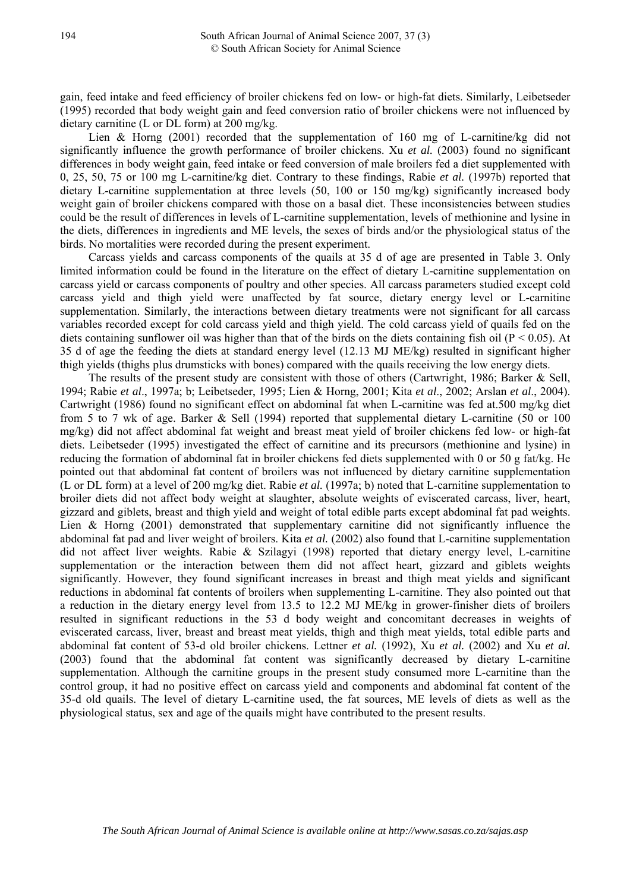gain, feed intake and feed efficiency of broiler chickens fed on low- or high-fat diets. Similarly, Leibetseder (1995) recorded that body weight gain and feed conversion ratio of broiler chickens were not influenced by dietary carnitine (L or DL form) at 200 mg/kg.

Lien & Horng  $(2001)$  recorded that the supplementation of 160 mg of L-carnitine/kg did not significantly influence the growth performance of broiler chickens. Xu *et al.* (2003) found no significant differences in body weight gain, feed intake or feed conversion of male broilers fed a diet supplemented with 0, 25, 50, 75 or 100 mg L-carnitine/kg diet. Contrary to these findings, Rabie *et al.* (1997b) reported that dietary L-carnitine supplementation at three levels (50, 100 or 150 mg/kg) significantly increased body weight gain of broiler chickens compared with those on a basal diet. These inconsistencies between studies could be the result of differences in levels of L-carnitine supplementation, levels of methionine and lysine in the diets, differences in ingredients and ME levels, the sexes of birds and/or the physiological status of the birds. No mortalities were recorded during the present experiment.

Carcass yields and carcass components of the quails at 35 d of age are presented in Table 3. Only limited information could be found in the literature on the effect of dietary L-carnitine supplementation on carcass yield or carcass components of poultry and other species. All carcass parameters studied except cold carcass yield and thigh yield were unaffected by fat source, dietary energy level or L-carnitine supplementation. Similarly, the interactions between dietary treatments were not significant for all carcass variables recorded except for cold carcass yield and thigh yield. The cold carcass yield of quails fed on the diets containing sunflower oil was higher than that of the birds on the diets containing fish oil ( $P < 0.05$ ). At 35 d of age the feeding the diets at standard energy level (12.13 MJ ME/kg) resulted in significant higher thigh yields (thighs plus drumsticks with bones) compared with the quails receiving the low energy diets.

The results of the present study are consistent with those of others (Cartwright, 1986; Barker & Sell, 1994; Rabie *et al*., 1997a; b; Leibetseder, 1995; Lien & Horng, 2001; Kita *et al*., 2002; Arslan *et al*., 2004). Cartwright (1986) found no significant effect on abdominal fat when L-carnitine was fed at.500 mg/kg diet from 5 to 7 wk of age. Barker & Sell (1994) reported that supplemental dietary L-carnitine (50 or 100 mg/kg) did not affect abdominal fat weight and breast meat yield of broiler chickens fed low- or high-fat diets. Leibetseder (1995) investigated the effect of carnitine and its precursors (methionine and lysine) in reducing the formation of abdominal fat in broiler chickens fed diets supplemented with 0 or 50 g fat/kg. He pointed out that abdominal fat content of broilers was not influenced by dietary carnitine supplementation (L or DL form) at a level of 200 mg/kg diet. Rabie *et al.* (1997a; b) noted that L-carnitine supplementation to broiler diets did not affect body weight at slaughter, absolute weights of eviscerated carcass, liver, heart, gizzard and giblets, breast and thigh yield and weight of total edible parts except abdominal fat pad weights. Lien & Horng (2001) demonstrated that supplementary carnitine did not significantly influence the abdominal fat pad and liver weight of broilers. Kita *et al.* (2002) also found that L-carnitine supplementation did not affect liver weights. Rabie & Szilagyi (1998) reported that dietary energy level, L-carnitine supplementation or the interaction between them did not affect heart, gizzard and giblets weights significantly. However, they found significant increases in breast and thigh meat yields and significant reductions in abdominal fat contents of broilers when supplementing L-carnitine. They also pointed out that a reduction in the dietary energy level from 13.5 to 12.2 MJ ME/kg in grower-finisher diets of broilers resulted in significant reductions in the 53 d body weight and concomitant decreases in weights of eviscerated carcass, liver, breast and breast meat yields, thigh and thigh meat yields, total edible parts and abdominal fat content of 53-d old broiler chickens. Lettner *et al.* (1992), Xu *et al.* (2002) and Xu *et al.* (2003) found that the abdominal fat content was significantly decreased by dietary L-carnitine supplementation. Although the carnitine groups in the present study consumed more L-carnitine than the control group, it had no positive effect on carcass yield and components and abdominal fat content of the 35-d old quails. The level of dietary L-carnitine used, the fat sources, ME levels of diets as well as the physiological status, sex and age of the quails might have contributed to the present results.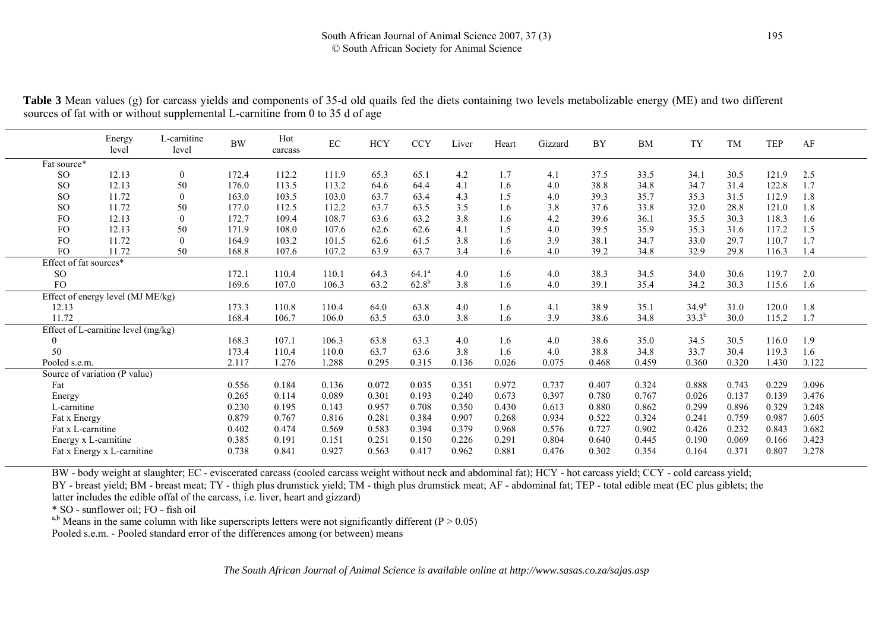| Table 3 Mean values (g) for carcass yields and components of 35-d old quails fed the diets containing two levels metabolizable energy (ME) and two different |  |  |  |
|--------------------------------------------------------------------------------------------------------------------------------------------------------------|--|--|--|
| sources of fat with or without supplemental L-carnitine from 0 to 35 d of age                                                                                |  |  |  |

|                        | Energy<br>level                     | L-carnitine<br>level | <b>BW</b> | Hot<br>carcass | $\rm EC$ | HCY   | <b>CCY</b> | Liver | Heart | Gizzard | <b>BY</b> | <b>BM</b> | <b>TY</b>         | <b>TM</b> | <b>TEP</b> | AF    |
|------------------------|-------------------------------------|----------------------|-----------|----------------|----------|-------|------------|-------|-------|---------|-----------|-----------|-------------------|-----------|------------|-------|
| Fat source*            |                                     |                      |           |                |          |       |            |       |       |         |           |           |                   |           |            |       |
| <sub>SO</sub>          | 12.13                               | $\boldsymbol{0}$     | 172.4     | 112.2          | 111.9    | 65.3  | 65.1       | 4.2   | 1.7   | 4.1     | 37.5      | 33.5      | 34.1              | 30.5      | 121.9      | 2.5   |
| <b>SO</b>              | 12.13                               | 50                   | 176.0     | 113.5          | 113.2    | 64.6  | 64.4       | 4.1   | 1.6   | 4.0     | 38.8      | 34.8      | 34.7              | 31.4      | 122.8      | 1.7   |
| <sub>SO</sub>          | 11.72                               | $\overline{0}$       | 163.0     | 103.5          | 103.0    | 63.7  | 63.4       | 4.3   | 1.5   | 4.0     | 39.3      | 35.7      | 35.3              | 31.5      | 112.9      | 1.8   |
| <b>SO</b>              | 11.72                               | 50                   | 177.0     | 112.5          | 112.2    | 63.7  | 63.5       | 3.5   | 1.6   | 3.8     | 37.6      | 33.8      | 32.0              | 28.8      | 121.0      | 1.8   |
| <b>FO</b>              | 12.13                               | $\overline{0}$       | 172.7     | 109.4          | 108.7    | 63.6  | 63.2       | 3.8   | 1.6   | 4.2     | 39.6      | 36.1      | 35.5              | 30.3      | 118.3      | 1.6   |
| FO                     | 12.13                               | 50                   | 171.9     | 108.0          | 107.6    | 62.6  | 62.6       | 4.1   | 1.5   | 4.0     | 39.5      | 35.9      | 35.3              | 31.6      | 117.2      | 1.5   |
| FO                     | 11.72                               | $\theta$             | 164.9     | 103.2          | 101.5    | 62.6  | 61.5       | 3.8   | 1.6   | 3.9     | 38.1      | 34.7      | 33.0              | 29.7      | 110.7      | 1.7   |
| FO                     | 11.72                               | 50                   | 168.8     | 107.6          | 107.2    | 63.9  | 63.7       | 3.4   | 1.6   | 4.0     | 39.2      | 34.8      | 32.9              | 29.8      | 116.3      | 1.4   |
| Effect of fat sources* |                                     |                      |           |                |          |       |            |       |       |         |           |           |                   |           |            |       |
| <sub>SO</sub>          |                                     |                      | 172.1     | 110.4          | 110.1    | 64.3  | $64.1^a$   | 4.0   | 1.6   | 4.0     | 38.3      | 34.5      | 34.0              | 30.6      | 119.7      | 2.0   |
| <b>FO</b>              |                                     |                      | 169.6     | 107.0          | 106.3    | 63.2  | $62.8^{b}$ | 3.8   | 1.6   | 4.0     | 39.1      | 35.4      | 34.2              | 30.3      | 115.6      | 1.6   |
|                        | Effect of energy level (MJ ME/kg)   |                      |           |                |          |       |            |       |       |         |           |           |                   |           |            |       |
| 12.13                  |                                     |                      | 173.3     | 110.8          | 110.4    | 64.0  | 63.8       | 4.0   | 1.6   | 4.1     | 38.9      | 35.1      | 34.9 <sup>a</sup> | 31.0      | 120.0      | 1.8   |
| 11.72                  |                                     |                      | 168.4     | 106.7          | 106.0    | 63.5  | 63.0       | 3.8   | 1.6   | 3.9     | 38.6      | 34.8      | $33.3^{b}$        | 30.0      | 115.2      | 1.7   |
|                        | Effect of L-carnitine level (mg/kg) |                      |           |                |          |       |            |       |       |         |           |           |                   |           |            |       |
| $\theta$               |                                     |                      | 168.3     | 107.1          | 106.3    | 63.8  | 63.3       | 4.0   | 1.6   | 4.0     | 38.6      | 35.0      | 34.5              | 30.5      | 116.0      | 1.9   |
| 50                     |                                     |                      | 173.4     | 110.4          | 110.0    | 63.7  | 63.6       | 3.8   | 1.6   | 4.0     | 38.8      | 34.8      | 33.7              | 30.4      | 119.3      | 1.6   |
| Pooled s.e.m.          |                                     |                      | 2.117     | 1.276          | 1.288    | 0.295 | 0.315      | 0.136 | 0.026 | 0.075   | 0.468     | 0.459     | 0.360             | 0.320     | 1.430      | 0.122 |
|                        | Source of variation (P value)       |                      |           |                |          |       |            |       |       |         |           |           |                   |           |            |       |
| Fat                    |                                     |                      | 0.556     | 0.184          | 0.136    | 0.072 | 0.035      | 0.351 | 0.972 | 0.737   | 0.407     | 0.324     | 0.888             | 0.743     | 0.229      | 0.096 |
| Energy                 |                                     |                      | 0.265     | 0.114          | 0.089    | 0.301 | 0.193      | 0.240 | 0.673 | 0.397   | 0.780     | 0.767     | 0.026             | 0.137     | 0.139      | 0.476 |
| L-carnitine            |                                     |                      | 0.230     | 0.195          | 0.143    | 0.957 | 0.708      | 0.350 | 0.430 | 0.613   | 0.880     | 0.862     | 0.299             | 0.896     | 0.329      | 0.248 |
| Fat x Energy           |                                     |                      | 0.879     | 0.767          | 0.816    | 0.281 | 0.384      | 0.907 | 0.268 | 0.934   | 0.522     | 0.324     | 0.241             | 0.759     | 0.987      | 0.605 |
| Fat x L-carnitine      |                                     |                      | 0.402     | 0.474          | 0.569    | 0.583 | 0.394      | 0.379 | 0.968 | 0.576   | 0.727     | 0.902     | 0.426             | 0.232     | 0.843      | 0.682 |
| Energy x L-carnitine   |                                     |                      | 0.385     | 0.191          | 0.151    | 0.251 | 0.150      | 0.226 | 0.291 | 0.804   | 0.640     | 0.445     | 0.190             | 0.069     | 0.166      | 0.423 |
|                        | Fat x Energy x L-carnitine          |                      | 0.738     | 0.841          | 0.927    | 0.563 | 0.417      | 0.962 | 0.881 | 0.476   | 0.302     | 0.354     | 0.164             | 0.371     | 0.807      | 0.278 |
|                        |                                     |                      |           |                |          |       |            |       |       |         |           |           |                   |           |            |       |

BW - body weight at slaughter; EC - eviscerated carcass (cooled carcass weight without neck and abdominal fat); HCY - hot carcass yield; CCY - cold carcass yield;

BY - breast yield; BM - breast meat; TY - thigh plus drumstick yield; TM - thigh plus drumstick meat; AF - abdominal fat; TEP - total edible meat (EC plus giblets; the latter includes the edible offal of the carcass, i.e. liver, heart and gizzard)

\* SO - sunflower oil; FO - fish oil

<sup>a,b</sup> Means in the same column with like superscripts letters were not significantly different ( $P > 0.05$ )

Pooled s.e.m. - Pooled standard error of the differences among (or between) means

*The South African Journal of Animal Science is available online at http://www.sasas.co.za/sajas.asp*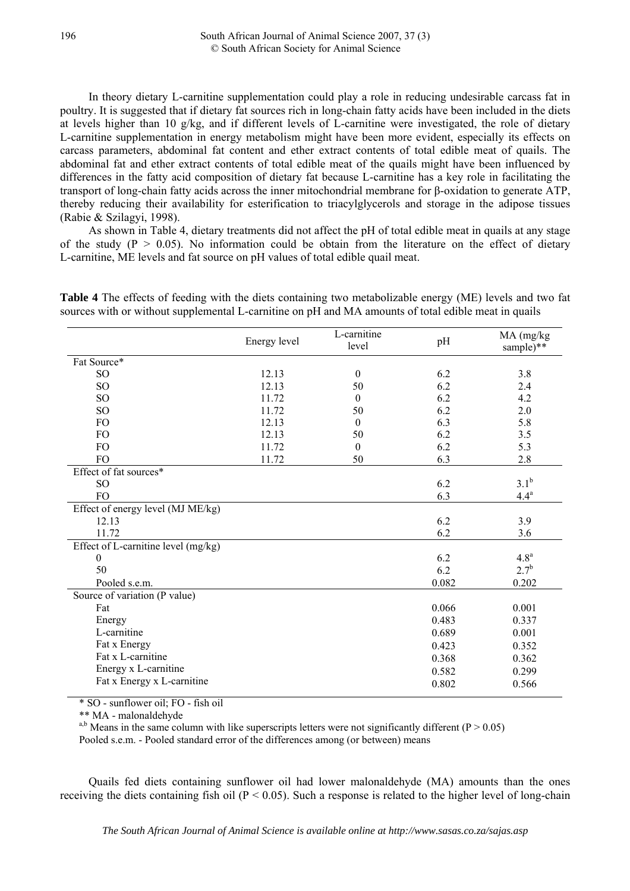In theory dietary L-carnitine supplementation could play a role in reducing undesirable carcass fat in poultry. It is suggested that if dietary fat sources rich in long-chain fatty acids have been included in the diets at levels higher than 10 g/kg, and if different levels of L-carnitine were investigated, the role of dietary L-carnitine supplementation in energy metabolism might have been more evident, especially its effects on carcass parameters, abdominal fat content and ether extract contents of total edible meat of quails. The abdominal fat and ether extract contents of total edible meat of the quails might have been influenced by differences in the fatty acid composition of dietary fat because L-carnitine has a key role in facilitating the transport of long-chain fatty acids across the inner mitochondrial membrane for β-oxidation to generate ATP, thereby reducing their availability for esterification to triacylglycerols and storage in the adipose tissues (Rabie & Szilagyi, 1998).

As shown in Table 4, dietary treatments did not affect the pH of total edible meat in quails at any stage of the study ( $P > 0.05$ ). No information could be obtain from the literature on the effect of dietary L-carnitine, ME levels and fat source on pH values of total edible quail meat.

**Table 4** The effects of feeding with the diets containing two metabolizable energy (ME) levels and two fat sources with or without supplemental L-carnitine on pH and MA amounts of total edible meat in quails

|                                     | Energy level | L-carnitine<br>level | pH    | MA (mg/kg)<br>sample)** |
|-------------------------------------|--------------|----------------------|-------|-------------------------|
| Fat Source*                         |              |                      |       |                         |
| SO <sub>1</sub>                     | 12.13        | $\mathbf{0}$         | 6.2   | 3.8                     |
| SO <sub>1</sub>                     | 12.13        | 50                   | 6.2   | 2.4                     |
| SO <sub>1</sub>                     | 11.72        | $\mathbf{0}$         | 6.2   | 4.2                     |
| SO <sub>1</sub>                     | 11.72        | 50                   | 6.2   | 2.0                     |
| FO                                  | 12.13        | $\boldsymbol{0}$     | 6.3   | 5.8                     |
| <b>FO</b>                           | 12.13        | 50                   | 6.2   | 3.5                     |
| <b>FO</b>                           | 11.72        | $\boldsymbol{0}$     | 6.2   | 5.3                     |
| FO                                  | 11.72        | 50                   | 6.3   | 2.8                     |
| Effect of fat sources*              |              |                      |       |                         |
| SO <sub>1</sub>                     |              |                      | 6.2   | 3.1 <sup>b</sup>        |
| FO                                  |              |                      | 6.3   | $4.4^a$                 |
| Effect of energy level (MJ ME/kg)   |              |                      |       |                         |
| 12.13                               |              |                      | 6.2   | 3.9                     |
| 11.72                               |              |                      | 6.2   | 3.6                     |
| Effect of L-carnitine level (mg/kg) |              |                      |       |                         |
| $\mathbf{0}$                        |              |                      | 6.2   | 4.8 <sup>a</sup>        |
| 50                                  |              |                      | 6.2   | $2.7^{b}$               |
| Pooled s.e.m.                       |              |                      | 0.082 | 0.202                   |
| Source of variation (P value)       |              |                      |       |                         |
| Fat                                 |              |                      | 0.066 | 0.001                   |
| Energy                              |              |                      | 0.483 | 0.337                   |
| L-carnitine                         |              |                      | 0.689 | 0.001                   |
| Fat x Energy                        |              |                      | 0.423 | 0.352                   |
| Fat x L-carnitine                   |              |                      | 0.368 | 0.362                   |
| Energy x L-carnitine                |              |                      | 0.582 | 0.299                   |
| Fat x Energy x L-carnitine          |              |                      | 0.802 | 0.566                   |
|                                     |              |                      |       |                         |

\* SO - sunflower oil; FO - fish oil

\*\* MA - malonaldehyde

<sup>a,b</sup> Means in the same column with like superscripts letters were not significantly different ( $P > 0.05$ ) Pooled s.e.m. - Pooled standard error of the differences among (or between) means

Quails fed diets containing sunflower oil had lower malonaldehyde (MA) amounts than the ones receiving the diets containing fish oil ( $P < 0.05$ ). Such a response is related to the higher level of long-chain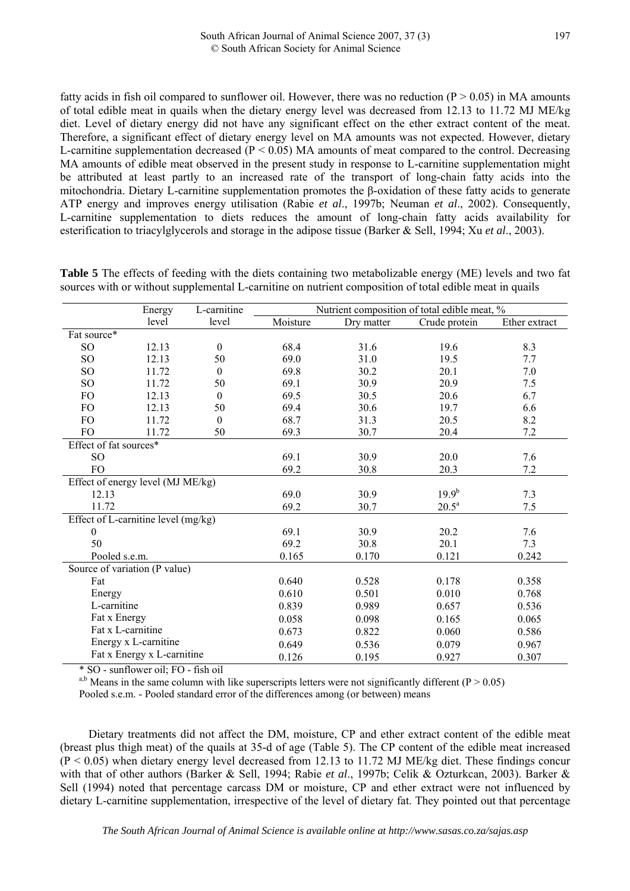fatty acids in fish oil compared to sunflower oil. However, there was no reduction ( $P > 0.05$ ) in MA amounts of total edible meat in quails when the dietary energy level was decreased from 12.13 to 11.72 MJ ME/kg diet. Level of dietary energy did not have any significant effect on the ether extract content of the meat. Therefore, a significant effect of dietary energy level on MA amounts was not expected. However, dietary L-carnitine supplementation decreased ( $P < 0.05$ ) MA amounts of meat compared to the control. Decreasing MA amounts of edible meat observed in the present study in response to L-carnitine supplementation might be attributed at least partly to an increased rate of the transport of long-chain fatty acids into the mitochondria. Dietary L-carnitine supplementation promotes the β-oxidation of these fatty acids to generate ATP energy and improves energy utilisation (Rabie *et al*., 1997b; Neuman *et al*., 2002). Consequently, L-carnitine supplementation to diets reduces the amount of long-chain fatty acids availability for esterification to triacylglycerols and storage in the adipose tissue (Barker & Sell, 1994; Xu *et al*., 2003).

|                        | Energy                              | L-carnitine  | Nutrient composition of total edible meat, % |            |                |               |  |  |  |  |
|------------------------|-------------------------------------|--------------|----------------------------------------------|------------|----------------|---------------|--|--|--|--|
|                        | level                               | level        | Moisture                                     | Dry matter | Crude protein  | Ether extract |  |  |  |  |
| Fat source*            |                                     |              |                                              |            |                |               |  |  |  |  |
| SO                     | 12.13                               | $\theta$     | 68.4                                         | 31.6       | 19.6           | 8.3           |  |  |  |  |
| SO <sub>1</sub>        | 12.13                               | 50           | 69.0                                         | 31.0       | 19.5           | 7.7           |  |  |  |  |
| SO <sub>1</sub>        | 11.72                               | $\mathbf{0}$ | 69.8                                         | 30.2       | 20.1           | 7.0           |  |  |  |  |
| SO                     | 11.72                               | 50           | 69.1                                         | 30.9       | 20.9           | 7.5           |  |  |  |  |
| <b>FO</b>              | 12.13                               | $\theta$     | 69.5                                         | 30.5       | 20.6           | 6.7           |  |  |  |  |
| FO                     | 12.13                               | 50           | 69.4                                         | 30.6       | 19.7           | 6.6           |  |  |  |  |
| <b>FO</b>              | 11.72                               | $\theta$     | 68.7                                         | 31.3       | 20.5           | 8.2           |  |  |  |  |
| <b>FO</b>              | 11.72                               | 50           | 69.3                                         | 30.7       | 20.4           | 7.2           |  |  |  |  |
| Effect of fat sources* |                                     |              |                                              |            |                |               |  |  |  |  |
| <b>SO</b>              |                                     |              | 69.1                                         | 30.9       | 20.0           | 7.6           |  |  |  |  |
| FO                     |                                     |              | 69.2                                         | 30.8       | 20.3           | 7.2           |  |  |  |  |
|                        | Effect of energy level (MJ ME/kg)   |              |                                              |            |                |               |  |  |  |  |
| 12.13                  |                                     |              | 69.0                                         | 30.9       | $19.9^{b}$     | 7.3           |  |  |  |  |
| 11.72                  |                                     |              | 69.2                                         | 30.7       | $20.5^{\rm a}$ | 7.5           |  |  |  |  |
|                        | Effect of L-carnitine level (mg/kg) |              |                                              |            |                |               |  |  |  |  |
| $\mathbf{0}$           |                                     |              | 69.1                                         | 30.9       | 20.2           | 7.6           |  |  |  |  |
| 50                     |                                     |              | 69.2                                         | 30.8       | 20.1           | 7.3           |  |  |  |  |
| Pooled s.e.m.          |                                     |              | 0.165                                        | 0.170      | 0.121          | 0.242         |  |  |  |  |
|                        | Source of variation (P value)       |              |                                              |            |                |               |  |  |  |  |
| Fat                    |                                     |              | 0.640                                        | 0.528      | 0.178          | 0.358         |  |  |  |  |
| Energy                 |                                     |              | 0.610                                        | 0.501      | 0.010          | 0.768         |  |  |  |  |
| L-carnitine            |                                     |              | 0.839                                        | 0.989      | 0.657          | 0.536         |  |  |  |  |
| Fat x Energy           |                                     |              | 0.058                                        | 0.098      | 0.165          | 0.065         |  |  |  |  |
|                        | Fat x L-carnitine                   |              | 0.673                                        | 0.822      | 0.060          | 0.586         |  |  |  |  |
|                        | Energy x L-carnitine                |              | 0.649                                        | 0.536      | 0.079          | 0.967         |  |  |  |  |
|                        | Fat x Energy x L-carnitine          |              | 0.126                                        | 0.195      | 0.927          | 0.307         |  |  |  |  |

**Table 5** The effects of feeding with the diets containing two metabolizable energy (ME) levels and two fat sources with or without supplemental L-carnitine on nutrient composition of total edible meat in quails

\* SO - sunflower oil; FO - fish oil

<sup>a,b</sup> Means in the same column with like superscripts letters were not significantly different ( $P > 0.05$ ) Pooled s.e.m. - Pooled standard error of the differences among (or between) means

Dietary treatments did not affect the DM, moisture, CP and ether extract content of the edible meat (breast plus thigh meat) of the quails at 35-d of age (Table 5). The CP content of the edible meat increased  $(P \le 0.05)$  when dietary energy level decreased from 12.13 to 11.72 MJ ME/kg diet. These findings concur with that of other authors (Barker & Sell, 1994; Rabie *et al*., 1997b; Celik & Ozturkcan, 2003). Barker & Sell (1994) noted that percentage carcass DM or moisture, CP and ether extract were not influenced by dietary L-carnitine supplementation, irrespective of the level of dietary fat. They pointed out that percentage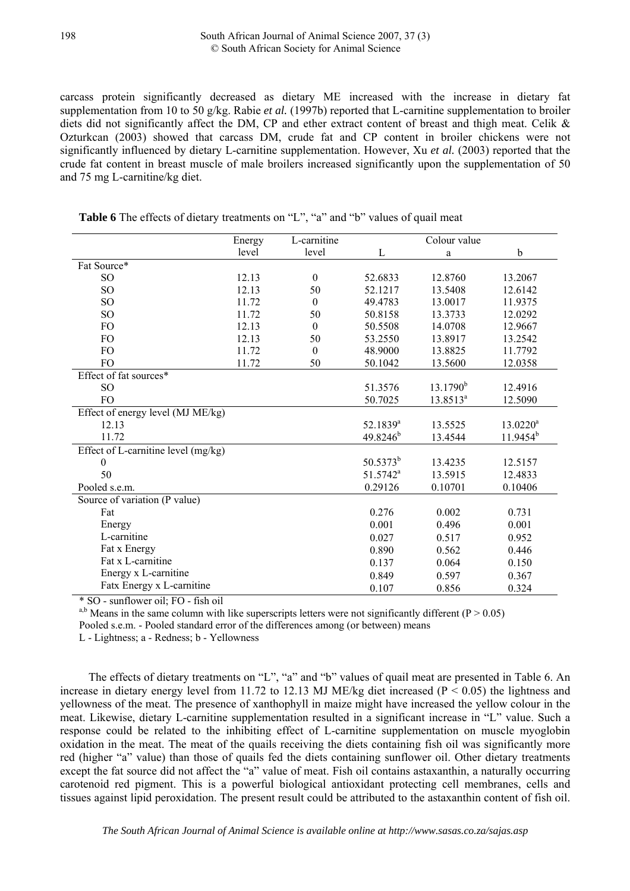carcass protein significantly decreased as dietary ME increased with the increase in dietary fat supplementation from 10 to 50 g/kg. Rabie *et al.* (1997b) reported that L-carnitine supplementation to broiler diets did not significantly affect the DM, CP and ether extract content of breast and thigh meat. Celik & Ozturkcan (2003) showed that carcass DM, crude fat and CP content in broiler chickens were not significantly influenced by dietary L-carnitine supplementation. However, Xu *et al.* (2003) reported that the crude fat content in breast muscle of male broilers increased significantly upon the supplementation of 50 and 75 mg L-carnitine/kg diet.

|                                     | Energy | L-carnitine  |                      | Colour value         |               |
|-------------------------------------|--------|--------------|----------------------|----------------------|---------------|
|                                     | level  | level        | L                    | a                    | b             |
| Fat Source*                         |        |              |                      |                      |               |
| SO <sub>1</sub>                     | 12.13  | $\theta$     | 52.6833              | 12.8760              | 13.2067       |
| SO <sub>1</sub>                     | 12.13  | 50           | 52.1217              | 13.5408              | 12.6142       |
| SO <sub>1</sub>                     | 11.72  | $\theta$     | 49.4783              | 13.0017              | 11.9375       |
| SO <sub>1</sub>                     | 11.72  | 50           | 50.8158              | 13.3733              | 12.0292       |
| FO                                  | 12.13  | $\theta$     | 50.5508              | 14.0708              | 12.9667       |
| FO                                  | 12.13  | 50           | 53.2550              | 13.8917              | 13.2542       |
| FO                                  | 11.72  | $\mathbf{0}$ | 48.9000              | 13.8825              | 11.7792       |
| FO                                  | 11.72  | 50           | 50.1042              | 13.5600              | 12.0358       |
| Effect of fat sources*              |        |              |                      |                      |               |
| SO <sub>1</sub>                     |        |              | 51.3576              | $13.1790^{b}$        | 12.4916       |
| F <sub>O</sub>                      |        |              | 50.7025              | 13.8513 <sup>a</sup> | 12.5090       |
| Effect of energy level (MJ ME/kg)   |        |              |                      |                      |               |
| 12.13                               |        |              | 52.1839 <sup>a</sup> | 13.5525              | $13.0220^a$   |
| 11.72                               |        |              | $49.8246^{b}$        | 13.4544              | $11.9454^{b}$ |
| Effect of L-carnitine level (mg/kg) |        |              |                      |                      |               |
| $\boldsymbol{0}$                    |        |              | $50.5373^{b}$        | 13.4235              | 12.5157       |
| 50                                  |        |              | 51.5742 <sup>a</sup> | 13.5915              | 12.4833       |
| Pooled s.e.m.                       |        |              | 0.29126              | 0.10701              | 0.10406       |
| Source of variation (P value)       |        |              |                      |                      |               |
| Fat                                 |        |              | 0.276                | 0.002                | 0.731         |
| Energy                              |        |              | 0.001                | 0.496                | 0.001         |
| L-carnitine                         |        |              | 0.027                | 0.517                | 0.952         |
| Fat x Energy                        |        |              | 0.890                | 0.562                | 0.446         |
| Fat x L-carnitine                   |        |              | 0.137                | 0.064                | 0.150         |
| Energy x L-carnitine                |        |              | 0.849                | 0.597                | 0.367         |
| Fatx Energy x L-carnitine           |        |              | 0.107                | 0.856                | 0.324         |

**Table 6** The effects of dietary treatments on "L", "a" and "b" values of quail meat

\* SO - sunflower oil; FO - fish oil

<sup>a,b</sup> Means in the same column with like superscripts letters were not significantly different (P > 0.05)

Pooled s.e.m. - Pooled standard error of the differences among (or between) means

L - Lightness; a - Redness; b - Yellowness

The effects of dietary treatments on "L", "a" and "b" values of quail meat are presented in Table 6. An increase in dietary energy level from 11.72 to 12.13 MJ ME/kg diet increased ( $P < 0.05$ ) the lightness and yellowness of the meat. The presence of xanthophyll in maize might have increased the yellow colour in the meat. Likewise, dietary L-carnitine supplementation resulted in a significant increase in "L" value. Such a response could be related to the inhibiting effect of L-carnitine supplementation on muscle myoglobin oxidation in the meat. The meat of the quails receiving the diets containing fish oil was significantly more red (higher "a" value) than those of quails fed the diets containing sunflower oil. Other dietary treatments except the fat source did not affect the "a" value of meat. Fish oil contains astaxanthin, a naturally occurring carotenoid red pigment. This is a powerful biological antioxidant protecting cell membranes, cells and tissues against lipid peroxidation. The present result could be attributed to the astaxanthin content of fish oil.

198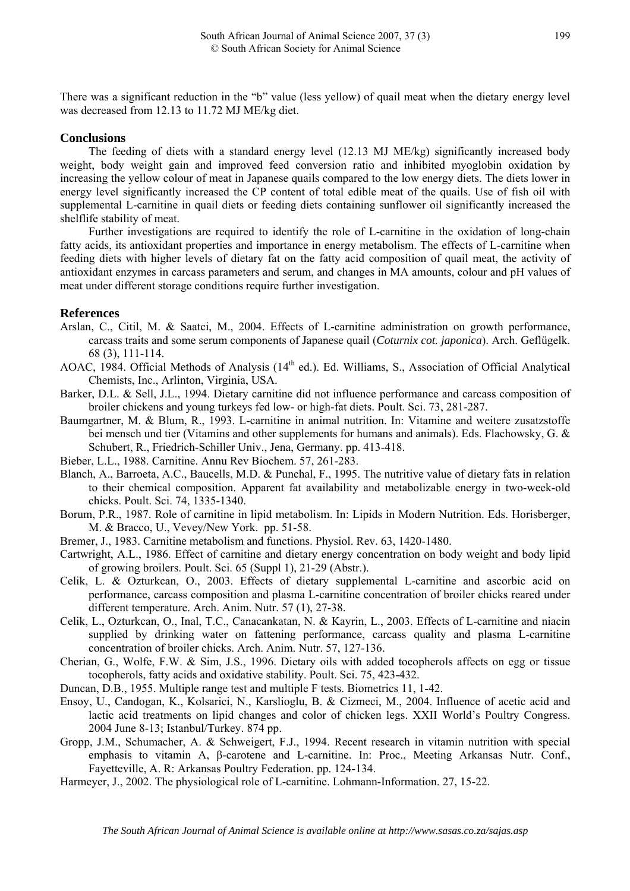There was a significant reduction in the "b" value (less yellow) of quail meat when the dietary energy level was decreased from 12.13 to 11.72 MJ ME/kg diet.

## **Conclusions**

The feeding of diets with a standard energy level (12.13 MJ ME/kg) significantly increased body weight, body weight gain and improved feed conversion ratio and inhibited myoglobin oxidation by increasing the yellow colour of meat in Japanese quails compared to the low energy diets. The diets lower in energy level significantly increased the CP content of total edible meat of the quails. Use of fish oil with supplemental L-carnitine in quail diets or feeding diets containing sunflower oil significantly increased the shelflife stability of meat.

Further investigations are required to identify the role of L-carnitine in the oxidation of long-chain fatty acids, its antioxidant properties and importance in energy metabolism. The effects of L-carnitine when feeding diets with higher levels of dietary fat on the fatty acid composition of quail meat, the activity of antioxidant enzymes in carcass parameters and serum, and changes in MA amounts, colour and pH values of meat under different storage conditions require further investigation.

#### **References**

- Arslan, C., Citil, M. & Saatci, M., 2004. Effects of L-carnitine administration on growth performance, carcass traits and some serum components of Japanese quail (*Coturnix cot. japonica*). Arch. Geflügelk. 68 (3), 111-114.
- AOAC, 1984. Official Methods of Analysis (14<sup>th</sup> ed.). Ed. Williams, S., Association of Official Analytical Chemists, Inc., Arlinton, Virginia, USA.
- Barker, D.L. & Sell, J.L., 1994. Dietary carnitine did not influence performance and carcass composition of broiler chickens and young turkeys fed low- or high-fat diets. Poult. Sci. 73, 281-287.
- Baumgartner, M. & Blum, R., 1993. L-carnitine in animal nutrition. In: Vitamine and weitere zusatzstoffe bei mensch und tier (Vitamins and other supplements for humans and animals). Eds. Flachowsky, G. & Schubert, R., Friedrich-Schiller Univ., Jena, Germany. pp. 413-418.
- Bieber, L.L., 1988. Carnitine. Annu Rev Biochem. 57, 261-283.
- Blanch, A., Barroeta, A.C., Baucells, M.D. & Punchal, F., 1995. The nutritive value of dietary fats in relation to their chemical composition. Apparent fat availability and metabolizable energy in two-week-old chicks. Poult. Sci. 74, 1335-1340.
- Borum, P.R., 1987. Role of carnitine in lipid metabolism. In: Lipids in Modern Nutrition. Eds. Horisberger, M. & Bracco, U., Vevey/New York. pp. 51-58.
- Bremer, J., 1983. Carnitine metabolism and functions. Physiol. Rev. 63, 1420-1480.
- Cartwright, A.L., 1986. Effect of carnitine and dietary energy concentration on body weight and body lipid of growing broilers. Poult. Sci. 65 (Suppl 1), 21-29 (Abstr.).
- Celik, L. & Ozturkcan, O., 2003. Effects of dietary supplemental L-carnitine and ascorbic acid on performance, carcass composition and plasma L-carnitine concentration of broiler chicks reared under different temperature. Arch. Anim. Nutr. 57 (1), 27-38.
- Celik, L., Ozturkcan, O., Inal, T.C., Canacankatan, N. & Kayrin, L., 2003. Effects of L-carnitine and niacin supplied by drinking water on fattening performance, carcass quality and plasma L-carnitine concentration of broiler chicks. Arch. Anim. Nutr. 57, 127-136.
- Cherian, G., Wolfe, F.W. & Sim, J.S., 1996. Dietary oils with added tocopherols affects on egg or tissue tocopherols, fatty acids and oxidative stability. Poult. Sci. 75, 423-432.
- Duncan, D.B., 1955. Multiple range test and multiple F tests. Biometrics 11, 1-42.
- Ensoy, U., Candogan, K., Kolsarici, N., Karslioglu, B. & Cizmeci, M., 2004. Influence of acetic acid and lactic acid treatments on lipid changes and color of chicken legs. XXII World's Poultry Congress. 2004 June 8-13; Istanbul/Turkey. 874 pp.
- Gropp, J.M., Schumacher, A. & Schweigert, F.J., 1994. Recent research in vitamin nutrition with special emphasis to vitamin A, β-carotene and L-carnitine. In: Proc., Meeting Arkansas Nutr. Conf., Fayetteville, A. R: Arkansas Poultry Federation. pp. 124-134.
- Harmeyer, J., 2002. The physiological role of L-carnitine. Lohmann-Information. 27, 15-22.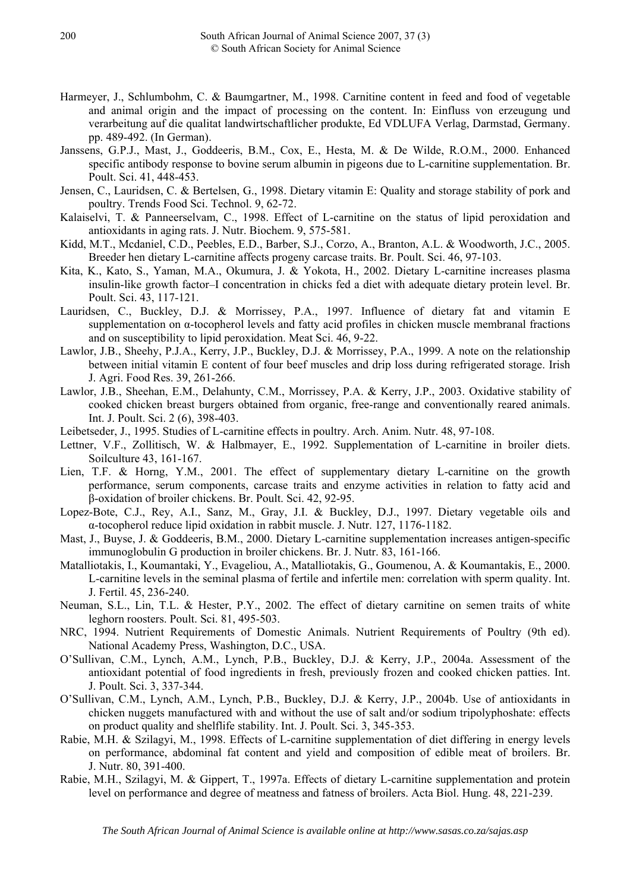- Harmeyer, J., Schlumbohm, C. & Baumgartner, M., 1998. Carnitine content in feed and food of vegetable and animal origin and the impact of processing on the content. In: Einfluss von erzeugung und verarbeitung auf die qualitat landwirtschaftlicher produkte, Ed VDLUFA Verlag, Darmstad, Germany. pp. 489-492. (In German).
- Janssens, G.P.J., Mast, J., Goddeeris, B.M., Cox, E., Hesta, M. & De Wilde, R.O.M., 2000. Enhanced specific antibody response to bovine serum albumin in pigeons due to L-carnitine supplementation. Br. Poult. Sci. 41, 448-453.
- Jensen, C., Lauridsen, C. & Bertelsen, G., 1998. Dietary vitamin E: Quality and storage stability of pork and poultry. Trends Food Sci. Technol. 9, 62-72.
- Kalaiselvi, T. & Panneerselvam, C., 1998. Effect of L-carnitine on the status of lipid peroxidation and antioxidants in aging rats. J. Nutr. Biochem. 9, 575-581.
- Kidd, M.T., Mcdaniel, C.D., Peebles, E.D., Barber, S.J., Corzo, A., Branton, A.L. & Woodworth, J.C., 2005. Breeder hen dietary L-carnitine affects progeny carcase traits. Br. Poult. Sci. 46, 97-103.
- Kita, K., Kato, S., Yaman, M.A., Okumura, J. & Yokota, H., 2002. Dietary L-carnitine increases plasma insulin-like growth factor–I concentration in chicks fed a diet with adequate dietary protein level. Br. Poult. Sci. 43, 117-121.
- Lauridsen, C., Buckley, D.J. & Morrissey, P.A., 1997. Influence of dietary fat and vitamin E supplementation on α-tocopherol levels and fatty acid profiles in chicken muscle membranal fractions and on susceptibility to lipid peroxidation. Meat Sci. 46, 9-22.
- Lawlor, J.B., Sheehy, P.J.A., Kerry, J.P., Buckley, D.J. & Morrissey, P.A., 1999. A note on the relationship between initial vitamin E content of four beef muscles and drip loss during refrigerated storage. Irish J. Agri. Food Res. 39, 261-266.
- Lawlor, J.B., Sheehan, E.M., Delahunty, C.M., Morrissey, P.A. & Kerry, J.P., 2003. Oxidative stability of cooked chicken breast burgers obtained from organic, free-range and conventionally reared animals. Int. J. Poult. Sci. 2 (6), 398-403.
- Leibetseder, J., 1995. Studies of L-carnitine effects in poultry. Arch. Anim. Nutr. 48, 97-108.
- Lettner, V.F., Zollitisch, W. & Halbmayer, E., 1992. Supplementation of L-carnitine in broiler diets. Soilculture 43, 161-167.
- Lien, T.F. & Horng, Y.M., 2001. The effect of supplementary dietary L-carnitine on the growth performance, serum components, carcase traits and enzyme activities in relation to fatty acid and β-oxidation of broiler chickens. Br. Poult. Sci. 42, 92-95.
- Lopez-Bote, C.J., Rey, A.I., Sanz, M., Gray, J.I. & Buckley, D.J., 1997. Dietary vegetable oils and α-tocopherol reduce lipid oxidation in rabbit muscle. J. Nutr. 127, 1176-1182.
- Mast, J., Buyse, J. & Goddeeris, B.M., 2000. Dietary L-carnitine supplementation increases antigen-specific immunoglobulin G production in broiler chickens. Br. J. Nutr. 83, 161-166.
- Matalliotakis, I., Koumantaki, Y., Evageliou, A., Matalliotakis, G., Goumenou, A. & Koumantakis, E., 2000. L-carnitine levels in the seminal plasma of fertile and infertile men: correlation with sperm quality. Int. J. Fertil. 45, 236-240.
- Neuman, S.L., Lin, T.L. & Hester, P.Y., 2002. The effect of dietary carnitine on semen traits of white leghorn roosters. Poult. Sci. 81, 495-503.
- NRC, 1994. Nutrient Requirements of Domestic Animals. Nutrient Requirements of Poultry (9th ed). National Academy Press, Washington, D.C., USA.
- O'Sullivan, C.M., Lynch, A.M., Lynch, P.B., Buckley, D.J. & Kerry, J.P., 2004a. Assessment of the antioxidant potential of food ingredients in fresh, previously frozen and cooked chicken patties. Int. J. Poult. Sci. 3, 337-344.
- O'Sullivan, C.M., Lynch, A.M., Lynch, P.B., Buckley, D.J. & Kerry, J.P., 2004b. Use of antioxidants in chicken nuggets manufactured with and without the use of salt and/or sodium tripolyphoshate: effects on product quality and shelflife stability. Int. J. Poult. Sci. 3, 345-353.
- Rabie, M.H. & Szilagyi, M., 1998. Effects of L-carnitine supplementation of diet differing in energy levels on performance, abdominal fat content and yield and composition of edible meat of broilers. Br. J. Nutr. 80, 391-400.
- Rabie, M.H., Szilagyi, M. & Gippert, T., 1997a. Effects of dietary L-carnitine supplementation and protein level on performance and degree of meatness and fatness of broilers. Acta Biol. Hung. 48, 221-239.